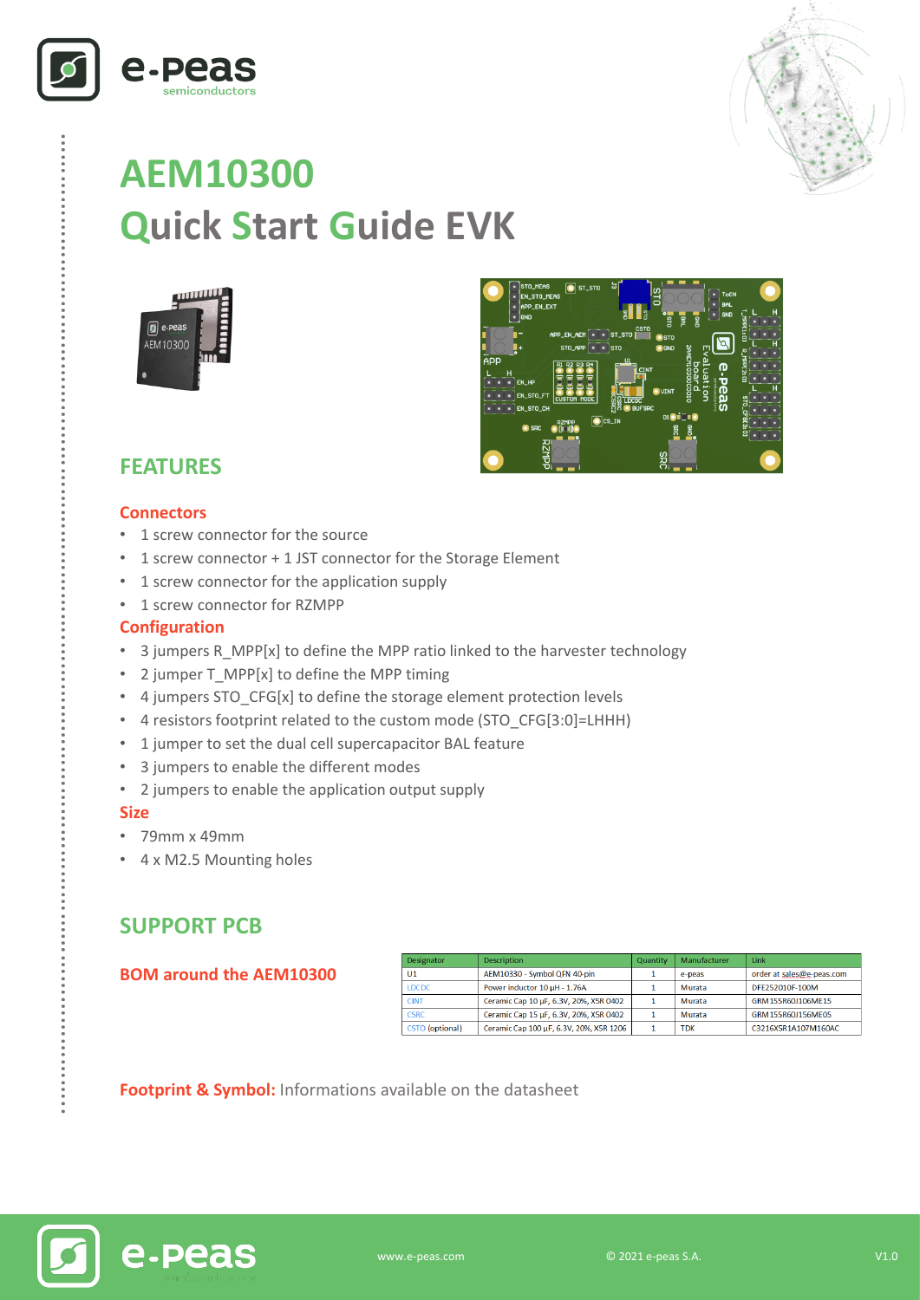



# **AEM10300 Quick Start Guide EVK**





# **FEATURES**

#### **Connectors**

- 1 screw connector for the source
- 1 screw connector + 1 JST connector for the Storage Element
- 1 screw connector for the application supply
- 1 screw connector for RZMPP

#### **Configuration**

- 3 jumpers R\_MPP[x] to define the MPP ratio linked to the harvester technology
- 2 jumper T\_MPP[x] to define the MPP timing
- 4 jumpers STO\_CFG[x] to define the storage element protection levels
- 4 resistors footprint related to the custom mode (STO\_CFG[3:0]=LHHH)
- 1 jumper to set the dual cell supercapacitor BAL feature
- 3 jumpers to enable the different modes
- 2 jumpers to enable the application output supply

#### **Size**

……………………………………………………………….…………………………………………………………..

- 79mm x 49mm
- 4 x M2.5 Mounting holes

## **SUPPORT PCB**

#### **BOM around the AEM10300**

| Designator             | <b>Description</b>                      | Quantity | Manufacturer | Link                      |
|------------------------|-----------------------------------------|----------|--------------|---------------------------|
| U <sub>1</sub>         | AEM10330 - Symbol QFN 40-pin            |          | e-peas       | order at sales@e-peas.com |
| <b>LDCDC</b>           | Power inductor 10 µH - 1.76A            |          | Murata       | DFE252010F-100M           |
| <b>CINT</b>            | Ceramic Cap 10 µF, 6.3V, 20%, X5R 0402  |          | Murata       | GRM155R60J106ME15         |
| <b>CSRC</b>            | Ceramic Cap 15 µF, 6.3V, 20%, X5R 0402  |          | Murata       | GRM155R601156MF05         |
| <b>CSTO</b> (optional) | Ceramic Cap 100 µF, 6.3V, 20%, X5R 1206 |          | <b>TDK</b>   | C3216X5R1A107M160AC       |

**Footprint & Symbol :** Informations available on the datasheet

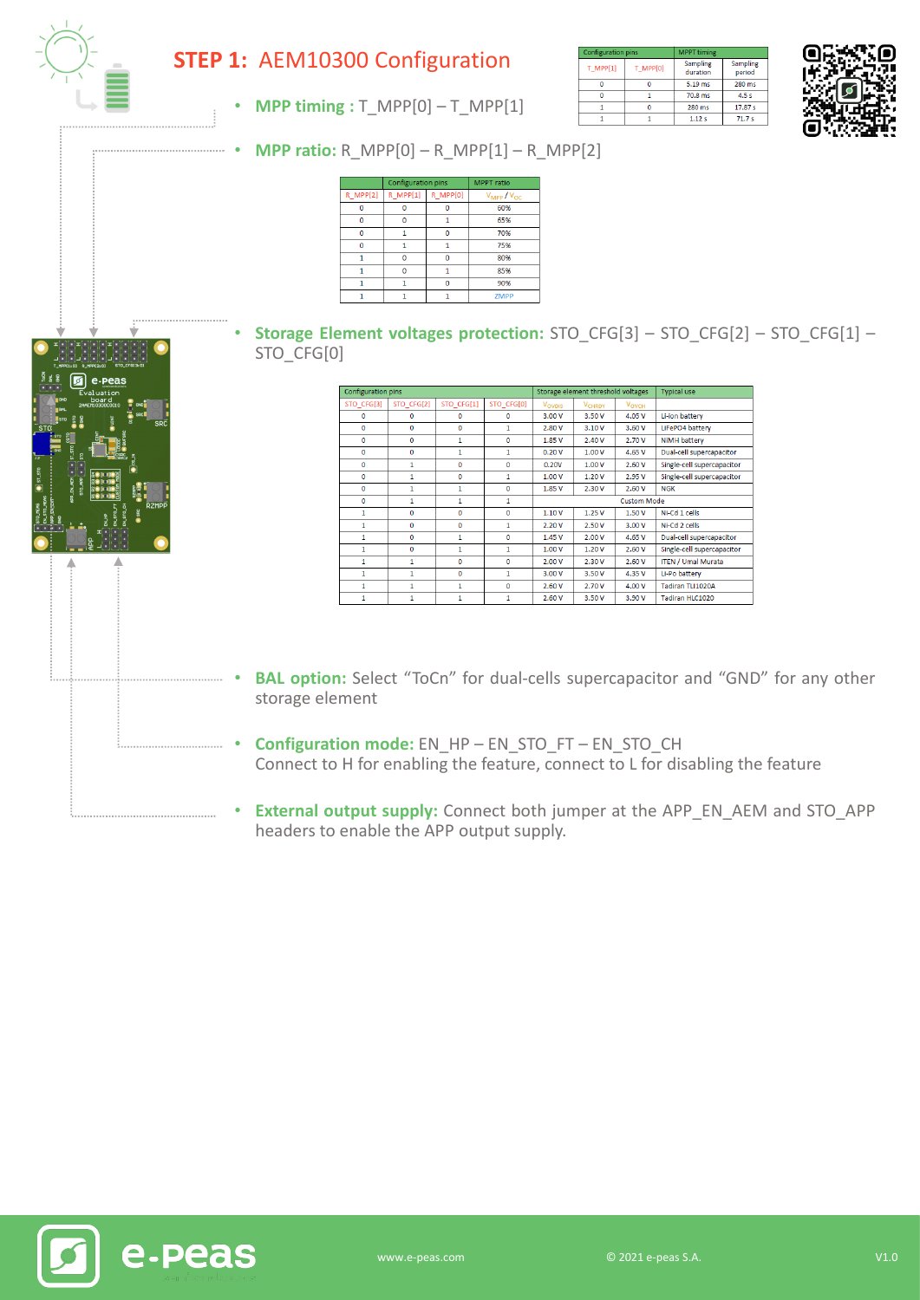

## **STEP 1:** AEM10300 Configuration

• **MPP timing :** T\_MPP[0] – T\_MPP[1]

| <b>Configuration pins</b> |          | <b>MPPT</b> timing   |                    |  |
|---------------------------|----------|----------------------|--------------------|--|
| T MPP[1]                  | T MPP[0] | Sampling<br>duration | Sampling<br>period |  |
|                           |          | 5.19 ms              | 280 ms             |  |
|                           |          |                      | 4.5s               |  |
|                           |          | 280 ms               | 17.87 s            |  |
|                           |          | 1.12s                | 71.7s              |  |
|                           |          |                      | 70.8 ms            |  |



• **MPP ratio:** R\_MPP[0] – R\_MPP[1] – R\_MPP[2]

|               | <b>Configuration pins</b> |          | <b>MPPT</b> ratio              |  |
|---------------|---------------------------|----------|--------------------------------|--|
| $R$ MPP $[2]$ | $R$ MPP $[1]$             | R MPP[0] | $V_{\text{MPP}}/V_{\text{OC}}$ |  |
|               |                           |          | 60%                            |  |
|               |                           |          | 65%                            |  |
|               |                           |          | 70%                            |  |
|               |                           |          | 75%                            |  |
|               |                           |          | 80%                            |  |
|               |                           |          | 85%                            |  |
|               |                           |          | 90%                            |  |
|               |                           |          | <b>ZMPP</b>                    |  |

• **Storage Element voltages protection:** STO\_CFG[3] – STO\_CFG[2] – STO\_CFG[1] – STO CFG[0]

| Configuration pins |              |              | Storage element threshold voltages |                    |                          | <b>Typical use</b> |                            |
|--------------------|--------------|--------------|------------------------------------|--------------------|--------------------------|--------------------|----------------------------|
| STO CFG[3]         | STO CFG[2]   | STO CFG[1]   | STO CFG[0]                         | Vovpis             | <b>V<sub>CHRDY</sub></b> | <b>VOVCH</b>       |                            |
| $\Omega$           | $\Omega$     | $\Omega$     | $\Omega$                           | 3.00 V             | 3.50 V                   | 4.05 V             | Li-ion battery             |
| $\mathbf 0$        | $\mathbf{O}$ | 0            | 1                                  | 2.80 V             | 3.10V                    | 3.60 V             | LiFePO4 battery            |
| $\Omega$           | $\Omega$     | 1            | $\Omega$                           | 1.85 V             | 2.40 V                   | 2.70 V             | NiMH battery               |
| $\mathbf 0$        | 0            | 1            | 1                                  | 0.20V              | 1.00V                    | 4.65 V             | Dual-cell supercapacitor   |
| $\Omega$           | 1            | $\Omega$     | $\Omega$                           | 0.20V              | 1.00 V                   | 2.60 V             | Single-cell supercapacitor |
| $\mathbf{0}$       | 1            | $\mathbf{0}$ | 1                                  | 1.00V              | 1.20V                    | 2.95 V             | Single-cell supercapacitor |
| $\Omega$           | 1            | $\mathbf{1}$ | $\Omega$                           | 1.85 V             | 2.30 V                   | 2.60 V             | <b>NGK</b>                 |
| $\mathbf{O}$       | 1            | 1            | 1                                  | <b>Custom Mode</b> |                          |                    |                            |
| 1                  | $\Omega$     | $\Omega$     | $\Omega$                           | 1.10V              | 1.25V                    | 1.50 V             | Ni-Cd 1 cells              |
| 1                  | $\mathbf{0}$ | 0            | 1                                  | 2.20V              | 2.50 V                   | 3.00 V             | Ni-Cd 2 cells              |
| 1                  | $\Omega$     | 1            | $\Omega$                           | 1.45 V             | 2.00 V                   | 4.65 V             | Dual-cell supercapacitor   |
| 1                  | $\Omega$     | $\mathbf{1}$ | $\mathbf{1}$                       | 1.00V              | 1.20V                    | 2.60 V             | Single-cell supercapacitor |
| 1                  | $\mathbf{1}$ | $\Omega$     | $\Omega$                           | 2.00 V             | 2.30V                    | 2.60 V             | <b>ITEN / Umal Murata</b>  |
| 1                  | $\mathbf{1}$ | $\mathbf 0$  | 1                                  | 3.00 V             | 3.50 V                   | 4.35 V             | Li-Po battery              |
| 1                  | 1            | 1            | $\Omega$                           | 2.60 V             | 2.70 V                   | 4.00 V             | Tadiran TLI1020A           |
| 1                  | 1            | 1            | 1                                  | 2.60V              | 3.50 V                   | 3.90 V             | Tadiran HLC1020            |

- **BAL option:** Select "ToCn" for dual-cells supercapacitor and "GND" for any other storage element
- **Configuration mode:** EN\_HP EN\_STO\_FT EN\_STO\_CH Connect to H for enabling the feature, connect to L for disabling the feature
- **External output supply:** Connect both jumper at the APP\_EN\_AEM and STO\_APP headers to enable the APP output supply.